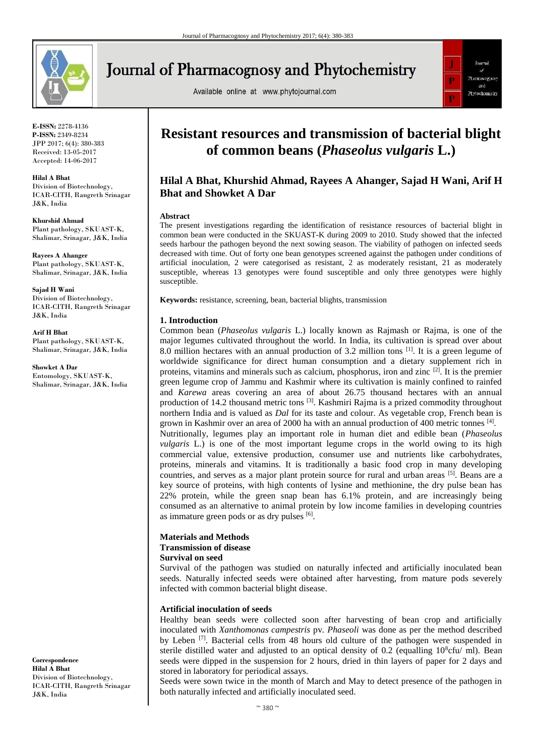

**Journal of Pharmacognosy and Phytochemistry** 

Available online at www.phytojournal.com



**E-ISSN:** 2278-4136 **P-ISSN:** 2349-8234 JPP 2017; 6(4): 380-383 Received: 13-05-2017 Accepted: 14-06-2017

**Hilal A Bhat** Division of Biotechnology, ICAR-CITH, Rangreth Srinagar J&K, India

**Khurshid Ahmad** Plant pathology, SKUAST-K, Shalimar, Srinagar, J&K, India

**Rayees A Ahanger** Plant pathology, SKUAST-K, Shalimar, Srinagar, J&K, India

**Sajad H Wani** Division of Biotechnology, ICAR-CITH, Rangreth Srinagar J&K, India

**Arif H Bhat**

Plant pathology, SKUAST-K, Shalimar, Srinagar, J&K, India

**Showket A Dar** Entomology, SKUAST-K, Shalimar, Srinagar, J&K, India

**Correspondence Hilal A Bhat** Division of Biotechnology, ICAR-CITH, Rangreth Srinagar J&K, India

# **Resistant resources and transmission of bacterial blight of common beans (***Phaseolus vulgaris* **L.)**

# **Hilal A Bhat, Khurshid Ahmad, Rayees A Ahanger, Sajad H Wani, Arif H Bhat and Showket A Dar**

#### **Abstract**

The present investigations regarding the identification of resistance resources of bacterial blight in common bean were conducted in the SKUAST-K during 2009 to 2010. Study showed that the infected seeds harbour the pathogen beyond the next sowing season. The viability of pathogen on infected seeds decreased with time. Out of forty one bean genotypes screened against the pathogen under conditions of artificial inoculation, 2 were categorised as resistant, 2 as moderately resistant, 21 as moderately susceptible, whereas 13 genotypes were found susceptible and only three genotypes were highly susceptible.

**Keywords:** resistance, screening, bean, bacterial blights, transmission

# **1. Introduction**

Common bean (*Phaseolus vulgaris* L.) locally known as Rajmash or Rajma, is one of the major legumes cultivated throughout the world. In India, its cultivation is spread over about 8.0 million hectares with an annual production of 3.2 million tons <sup>[1]</sup>. It is a green legume of worldwide significance for direct human consumption and a dietary supplement rich in proteins, vitamins and minerals such as calcium, phosphorus, iron and zinc [2]. It is the premier green legume crop of Jammu and Kashmir where its cultivation is mainly confined to rainfed and *Karewa* areas covering an area of about 26.75 thousand hectares with an annual production of 14.2 thousand metric tons <sup>[3]</sup>. Kashmiri Rajma is a prized commodity throughout northern India and is valued as *Dal* for its taste and colour. As vegetable crop, French bean is grown in Kashmir over an area of 2000 ha with an annual production of 400 metric tonnes [4]. Nutritionally, legumes play an important role in human diet and edible bean (*Phaseolus vulgaris* L.) is one of the most important legume crops in the world owing to its high commercial value, extensive production, consumer use and nutrients like carbohydrates, proteins, minerals and vitamins. It is traditionally a basic food crop in many developing countries, and serves as a major plant protein source for rural and urban areas [5]. Beans are a key source of proteins, with high contents of lysine and methionine, the dry pulse bean has 22% protein, while the green snap bean has 6.1% protein, and are increasingly being consumed as an alternative to animal protein by low income families in developing countries as immature green pods or as dry pulses  $[6]$ .

# **Materials and Methods Transmission of disease**

# **Survival on seed**

Survival of the pathogen was studied on naturally infected and artificially inoculated bean seeds. Naturally infected seeds were obtained after harvesting, from mature pods severely infected with common bacterial blight disease.

# **Artificial inoculation of seeds**

Healthy bean seeds were collected soon after harvesting of bean crop and artificially inoculated with *Xanthomonas campestris* pv*. Phaseoli* was done as per the method described by Leben <sup>[7]</sup>. Bacterial cells from 48 hours old culture of the pathogen were suspended in sterile distilled water and adjusted to an optical density of 0.2 (equalling  $10^8$ cfu/ ml). Bean seeds were dipped in the suspension for 2 hours, dried in thin layers of paper for 2 days and stored in laboratory for periodical assays.

Seeds were sown twice in the month of March and May to detect presence of the pathogen in both naturally infected and artificially inoculated seed.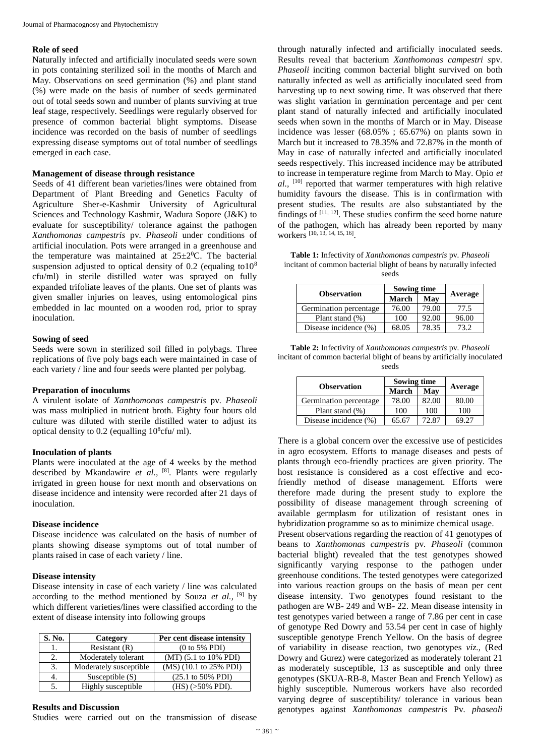#### **Role of seed**

Naturally infected and artificially inoculated seeds were sown in pots containing sterilized soil in the months of March and May. Observations on seed germination (%) and plant stand (%) were made on the basis of number of seeds germinated out of total seeds sown and number of plants surviving at true leaf stage, respectively. Seedlings were regularly observed for presence of common bacterial blight symptoms. Disease incidence was recorded on the basis of number of seedlings expressing disease symptoms out of total number of seedlings emerged in each case.

#### **Management of disease through resistance**

Seeds of 41 different bean varieties/lines were obtained from Department of Plant Breeding and Genetics Faculty of Agriculture Sher-e-Kashmir University of Agricultural Sciences and Technology Kashmir, Wadura Sopore (J&K) to evaluate for susceptibility/ tolerance against the pathogen *Xanthomonas campestris* pv*. Phaseoli* under conditions of artificial inoculation. Pots were arranged in a greenhouse and the temperature was maintained at  $25 \pm 2^0$ C. The bacterial suspension adjusted to optical density of 0.2 (equaling to  $10^8$ ) cfu/ml) in sterile distilled water was sprayed on fully expanded trifoliate leaves of the plants. One set of plants was given smaller injuries on leaves, using entomological pins embedded in lac mounted on a wooden rod, prior to spray inoculation.

#### **Sowing of seed**

Seeds were sown in sterilized soil filled in polybags. Three replications of five poly bags each were maintained in case of each variety / line and four seeds were planted per polybag.

#### **Preparation of inoculums**

A virulent isolate of *Xanthomonas campestris* pv*. Phaseoli*  was mass multiplied in nutrient broth. Eighty four hours old culture was diluted with sterile distilled water to adjust its optical density to 0.2 (equalling  $10^8$ cfu/ ml).

## **Inoculation of plants**

Plants were inoculated at the age of 4 weeks by the method described by Mkandawire *et al.,* [8]. Plants were regularly irrigated in green house for next month and observations on disease incidence and intensity were recorded after 21 days of inoculation.

## **Disease incidence**

Disease incidence was calculated on the basis of number of plants showing disease symptoms out of total number of plants raised in case of each variety / line.

#### **Disease intensity**

Disease intensity in case of each variety / line was calculated according to the method mentioned by Souza *et al.,* [9] by which different varieties/lines were classified according to the extent of disease intensity into following groups

| S. No. | Category               | Per cent disease intensity            |
|--------|------------------------|---------------------------------------|
|        | Resistant $(R)$        | $(0 to 5\% \text{ PDI})$              |
|        | Moderately tolerant    | $(MT)$ (5.1 to 10% PDI)               |
|        | Moderately susceptible | (MS) (10.1 to 25% PDI)                |
|        | Susceptible $(S)$      | $(25.1 \text{ to } 50\% \text{ PDI})$ |
|        | Highly susceptible     | $(HS)$ ( $>50\%$ PDI).                |

#### **Results and Discussion**

Studies were carried out on the transmission of disease

through naturally infected and artificially inoculated seeds. Results reveal that bacterium *Xanthomonas campestri s*pv*. Phaseoli* inciting common bacterial blight survived on both naturally infected as well as artificially inoculated seed from harvesting up to next sowing time. It was observed that there was slight variation in germination percentage and per cent plant stand of naturally infected and artificially inoculated seeds when sown in the months of March or in May. Disease incidence was lesser (68.05% ; 65.67%) on plants sown in March but it increased to 78.35% and 72.87% in the month of May in case of naturally infected and artificially inoculated seeds respectively. This increased incidence may be attributed to increase in temperature regime from March to May. Opio *et al.,* [10] reported that warmer temperatures with high relative humidity favours the disease. This is in confirmation with present studies. The results are also substantiated by the findings of  $[11, 12]$ . These studies confirm the seed borne nature of the pathogen, which has already been reported by many workers [10, 13, 14, 15, 16] .

**Table 1:** Infectivity of *Xanthomonas campestris* pv*. Phaseoli*  incitant of common bacterial blight of beans by naturally infected seeds

|                        | <b>Sowing time</b> |       |         |  |
|------------------------|--------------------|-------|---------|--|
| <b>Observation</b>     | March              | May   | Average |  |
| Germination percentage | 76.00              | 79.00 | 77.5    |  |
| Plant stand $(\%)$     | 100                | 92.00 | 96.00   |  |
| Disease incidence (%)  | 68.05              | 78.35 | 73.2    |  |

**Table 2:** Infectivity of *Xanthomonas campestris* pv*. Phaseoli*  incitant of common bacterial blight of beans by artificially inoculated seeds

| <b>Observation</b>     | Sowing time |       |         |  |
|------------------------|-------------|-------|---------|--|
|                        | March       | Mav   | Average |  |
| Germination percentage | 78.00       | 82.00 | 80.00   |  |
| Plant stand $(\%)$     | 100         | 100   | 100     |  |
| Disease incidence (%)  | 65.67       | 72.87 | 69.27   |  |

There is a global concern over the excessive use of pesticides in agro ecosystem. Efforts to manage diseases and pests of plants through eco-friendly practices are given priority. The host resistance is considered as a cost effective and ecofriendly method of disease management. Efforts were therefore made during the present study to explore the possibility of disease management through screening of available germplasm for utilization of resistant ones in hybridization programme so as to minimize chemical usage.

Present observations regarding the reaction of 41 genotypes of beans to *Xanthomonas campestris* pv*. Phaseoli* (common bacterial blight) revealed that the test genotypes showed significantly varying response to the pathogen under greenhouse conditions. The tested genotypes were categorized into various reaction groups on the basis of mean per cent disease intensity. Two genotypes found resistant to the pathogen are WB- 249 and WB- 22. Mean disease intensity in test genotypes varied between a range of 7.86 per cent in case of genotype Red Dowry and 53.54 per cent in case of highly susceptible genotype French Yellow. On the basis of degree of variability in disease reaction, two genotypes *viz.,* (Red Dowry and Gurez) were categorized as moderately tolerant 21 as moderately susceptible, 13 as susceptible and only three genotypes (SKUA-RB-8, Master Bean and French Yellow) as highly susceptible. Numerous workers have also recorded varying degree of susceptibility/ tolerance in various bean genotypes against *Xanthomonas campestris* Pv*. phaseoli*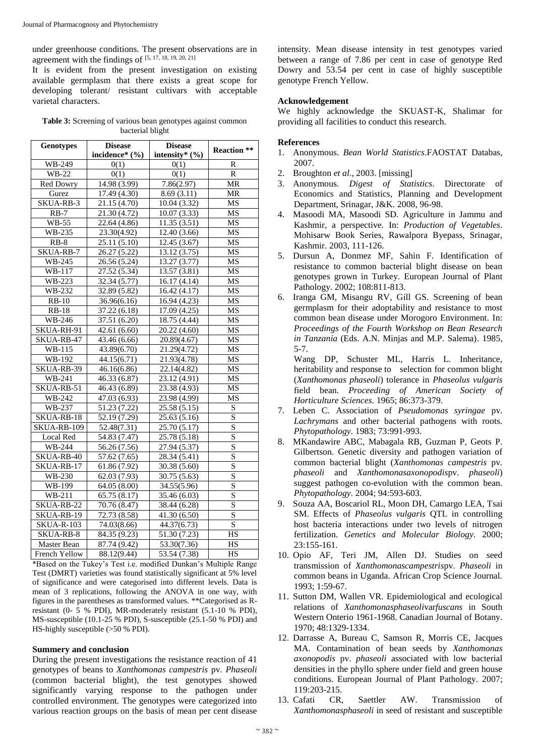under greenhouse conditions. The present observations are in agreement with the findings of  $[5, 17, 18, 19, 20, 21]$ 

It is evident from the present investigation on existing available germplasm that there exists a great scope for developing tolerant/ resistant cultivars with acceptable varietal characters.

| <b>Table 3:</b> Screening of various bean genotypes against common |  |  |  |  |
|--------------------------------------------------------------------|--|--|--|--|
| bacterial blight                                                   |  |  |  |  |

| <b>Genotypes</b>                | <b>Disease</b>            | <b>Disease</b>            |                         |  |
|---------------------------------|---------------------------|---------------------------|-------------------------|--|
|                                 | incidence* (%)            | intensity* $(\% )$        | <b>Reaction</b> **      |  |
| <b>WB-249</b>                   | 0(1)                      | 0(1)                      | R                       |  |
| WB-22                           | 0(1)                      | 0(1)                      | $\overline{R}$          |  |
| <b>Red Dowry</b>                | 14.98 (3.99)              | 7.86(2.97)                | MR                      |  |
| Gurez                           | 17.49 (4.30)              | 8.69(3.11)                | <b>MR</b>               |  |
| SKUA-RB-3                       | 21.15 (4.70)              | 10.04 (3.32)              | MS                      |  |
| $RB-7$                          | 21.30 (4.72)              | 10.07(3.33)               | MS                      |  |
| <b>WB-55</b>                    | 22.64 (4.86)              | 11.35(3.51)               | MS                      |  |
| WB-235                          | 23.30(4.92)               | 12.40 (3.66)              | MS                      |  |
| $RB-8$                          | 25.11 (5.10)              | 12.45 (3.67)              | MS                      |  |
| SKUA-RB-7                       | 26.27 (5.22)              | 13.12 (3.75)              | MS                      |  |
| WB-245                          | 26.56 (5.24)              | 13.27 (3.77)              | MS                      |  |
| WB-117                          | 27.52 (5.34)              | 13.57 (3.81)              | MS                      |  |
| WB-223                          | 32.34 (5.77)              | 16.17(4.14)               | MS                      |  |
| WB-232                          | 32.89 (5.82)              | 16.42(4.17)               | MS                      |  |
| $RB-10$                         | 36.96(6.16)               | 16.94 (4.23)              | MS                      |  |
| <b>RB-18</b>                    | $\overline{37.22}$ (6.18) | 17.09 (4.25)              | $\overline{\text{MS}}$  |  |
| WB-246                          | 37.51 (6.20)              | 18.75 (4.44)              | MS                      |  |
| SKUA-RH-91                      | 42.61(6.60)               | 20.22 (4.60)              | $\overline{\text{MS}}$  |  |
| SKUA-RB-47                      | 43.46(6.66)               | 20.89(4.67)               | $\overline{\text{MS}}$  |  |
| WB-115                          | 43.89(6.70)               | 21.29(4.72)               | MS                      |  |
| WB-192                          | 44.15(6.71)               | 21.93(4.78)               | MS                      |  |
| $\overline{\text{SKUA-RB}}$ -39 | 46.16(6.86)               | 22.14(4.82)               | $\overline{\text{MS}}$  |  |
| WB-241                          | 46.33 (6.87)              | 23.12 (4.91)              | $\overline{\text{MS}}$  |  |
| SKUA-RB-51                      | 46.43 (6.89)              | 23.38 (4.93)              | $\overline{\text{MS}}$  |  |
| WB-242                          | 47.03(6.93)               | 23.98 (4.99)              | MS                      |  |
| WB-237                          | 51.23 (7.22)              | 25.58 (5.15)              | S                       |  |
| SKUA-RB-18                      | 52.19 (7.29)              | 25.63 (5.16)              | $\overline{\mathbf{S}}$ |  |
| SKUA-RB-109                     | 52.48(7.31)               | 25.70 (5.17)              | S                       |  |
| Local Red                       | 54.83 (7.47)              | 25.78 (5.18)              | $\overline{\mathbf{S}}$ |  |
| <b>WB-244</b>                   | 56.26 (7.56)              | 27.94 (5.37)              | $\overline{\mathbf{S}}$ |  |
| SKUA-RB-40                      | 57.62 (7.65)              | 28.34 (5.41)              | S                       |  |
| SKUA-RB-17                      | 61.86 (7.92)              | 30.38 (5.60)              | S                       |  |
| WB-230                          | 62.03 (7.93)              | 30.75 (5.63)              | $\overline{\mathbf{S}}$ |  |
| WB-199                          | 64.05 (8.00)              | 34.55(5.96)               | $\overline{\mathbf{S}}$ |  |
| WB-211                          | 65.75(8.17)               | 35.46 (6.03)              | $\overline{S}$          |  |
| SKUA-RB-22                      | 70.76 (8.47)              | 38.44(6.28)               | $\overline{\mathbf{S}}$ |  |
| SKUA-RB-19                      | 72.73 (8.58)              | $\overline{41.30}$ (6.50) | $\overline{S}$          |  |
| <b>SKUA-R-103</b>               | 74.03(8.66)               | 44.37(6.73)               | $\overline{S}$          |  |
| SKUA-RB-8                       | 84.35 (9.23)              | $\overline{51.30}$ (7.23) | $\overline{\text{HS}}$  |  |
| Master Bean                     | 87.74(9.42)               | $\overline{53.30(7.36)}$  | HS                      |  |
| French Yellow                   | 88.12(9.44)               | 53.54 (7.38)              | HS                      |  |

\*Based on the Tukey's Test i.e. modified Dunkan's Multiple Range Test (DMRT) varieties was found statistically significant at 5% level of significance and were categorised into different levels. Data is mean of 3 replications, following the ANOVA in one way, with figures in the parentheses as transformed values. \*\*Categorised as Rresistant (0- 5 % PDI), MR-moderately resistant (5.1-10 % PDI), MS-susceptible (10.1-25 % PDI), S-susceptible (25.1-50 % PDI) and HS-highly susceptible (>50 % PDI).

#### **Summery and conclusion**

During the present investigations the resistance reaction of 41 genotypes of beans to *Xanthomonas campestris* pv*. Phaseoli*  (common bacterial blight), the test genotypes showed significantly varying response to the pathogen under controlled environment. The genotypes were categorized into various reaction groups on the basis of mean per cent disease

intensity. Mean disease intensity in test genotypes varied between a range of 7.86 per cent in case of genotype Red Dowry and 53.54 per cent in case of highly susceptible genotype French Yellow.

#### **Acknowledgement**

We highly acknowledge the SKUAST-K, Shalimar for providing all facilities to conduct this research.

#### **References**

- 1. Anonymous. *Bean World Statistics*.FAOSTAT Databas, 2007.
- 2. Broughton *et al*., 2003. [missing]
- 3. Anonymous. *Digest of Statistics*. Directorate of Economics and Statistics, Planning and Development Department, Srinagar, J&K. 2008, 96-98.
- 4. Masoodi MA, Masoodi SD. Agriculture in Jammu and Kashmir, a perspective. In: *Production of Vegetables*. Mohisarw Book Series, Rawalpora Byepass, Srinagar, Kashmir. 2003, 111-126.
- 5. Dursun A, Donmez MF, Sahin F. Identification of resistance to common bacterial blight disease on bean genotypes grown in Turkey. European Journal of Plant Pathology. 2002; 108:811-813.
- 6. Iranga GM, Misangu RV, Gill GS. Screening of bean germplasm for their adoptability and resistance to most common bean disease under Morogoro Environment. In: *Proceedings of the Fourth Workshop on Bean Research in Tanzania* (Eds. A.N. Minjas and M.P. Salema). 1985, 5-7.

Wang DP, Schuster ML, Harris L. Inheritance, heritability and response to selection for common blight (*Xanthomonas phaseoli*) tolerance in *Phaseolus vulgaris*  field bean. *Proceeding of American Society of Horticulture Sciences.* 1965; 86:373-379.

- 7. Leben C. Association of *Pseudomonas syringae* pv*. Lachrymans* and other bacterial pathogens with roots. *Phytopathology.* 1983; 73:991-993.
- 8. MKandawire ABC, Mabagala RB, Guzman P, Geots P. Gilbertson. Genetic diversity and pathogen variation of common bacterial blight (*Xanthomonas campestris* pv*. phaseoli* and *Xanthomonasaxonopodis*pv. *phaseoli*) suggest pathogen co-evolution with the common bean. *Phytopathology.* 2004; 94:593-603.
- 9. Souza AA, Boscariol RL, Moon DH, Camargo LEA, Tsai SM. Effects of *Phaseolus vulgaris* QTL in controlling host bacteria interactions under two levels of nitrogen fertilization. *Genetics and Molecular Biology.* 2000; 23:155-161.
- 10. Opio AF, Teri JM, Allen DJ. Studies on seed transmission of *Xanthomonascampestris*pv. *Phaseoli* in common beans in Uganda. African Crop Science Journal. 1993; 1:59-67.
- 11. Sutton DM, Wallen VR. Epidemiological and ecological relations of *Xanthomonasphaseoli*var*fuscans* in South Western Onterio 1961-1968. Canadian Journal of Botany. 1970; 48:1329-1334.
- 12. Darrasse A, Bureau C, Samson R, Morris CE, Jacques MA. Contamination of bean seeds by *Xanthomonas axonopodis* pv. *phaseoli* associated with low bacterial densities in the phyllo sphere under field and green house conditions. European Journal of Plant Pathology. 2007; 119:203-215.
- 13. Cafati CR, Saettler AW. Transmission of *Xanthomonasphaseoli* in seed of resistant and susceptible